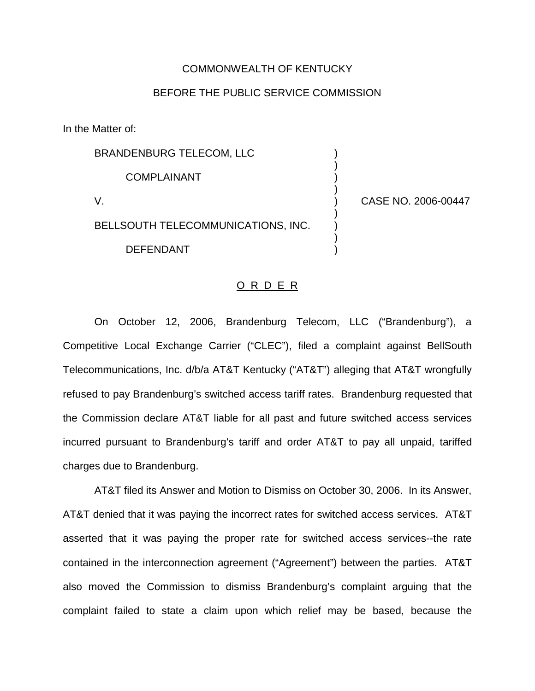### COMMONWEALTH OF KENTUCKY

# BEFORE THE PUBLIC SERVICE COMMISSION

In the Matter of:

| <b>BRANDENBURG TELECOM, LLC</b>    |  |
|------------------------------------|--|
| <b>COMPLAINANT</b>                 |  |
|                                    |  |
| BELLSOUTH TELECOMMUNICATIONS, INC. |  |
| DEFENDANT                          |  |

CASE NO. 2006-00447

### O R D E R

On October 12, 2006, Brandenburg Telecom, LLC ("Brandenburg"), a Competitive Local Exchange Carrier ("CLEC"), filed a complaint against BellSouth Telecommunications, Inc. d/b/a AT&T Kentucky ("AT&T") alleging that AT&T wrongfully refused to pay Brandenburg's switched access tariff rates. Brandenburg requested that the Commission declare AT&T liable for all past and future switched access services incurred pursuant to Brandenburg's tariff and order AT&T to pay all unpaid, tariffed charges due to Brandenburg.

AT&T filed its Answer and Motion to Dismiss on October 30, 2006. In its Answer, AT&T denied that it was paying the incorrect rates for switched access services. AT&T asserted that it was paying the proper rate for switched access services--the rate contained in the interconnection agreement ("Agreement") between the parties. AT&T also moved the Commission to dismiss Brandenburg's complaint arguing that the complaint failed to state a claim upon which relief may be based, because the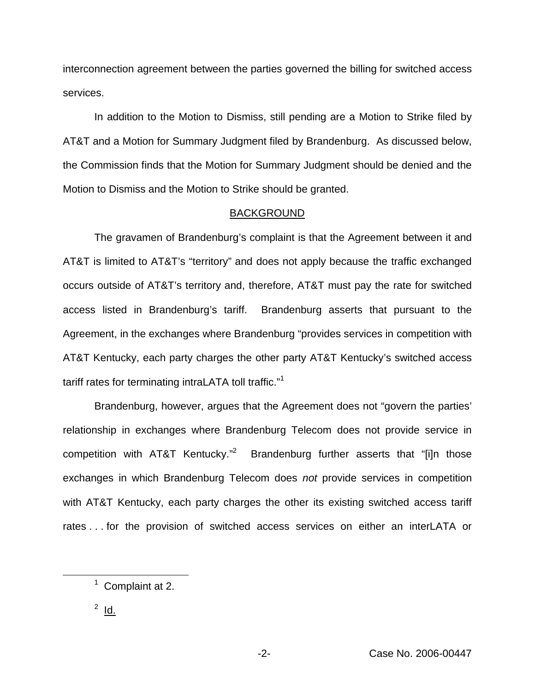interconnection agreement between the parties governed the billing for switched access services.

In addition to the Motion to Dismiss, still pending are a Motion to Strike filed by AT&T and a Motion for Summary Judgment filed by Brandenburg. As discussed below, the Commission finds that the Motion for Summary Judgment should be denied and the Motion to Dismiss and the Motion to Strike should be granted.

### BACKGROUND

The gravamen of Brandenburg's complaint is that the Agreement between it and AT&T is limited to AT&T's "territory" and does not apply because the traffic exchanged occurs outside of AT&T's territory and, therefore, AT&T must pay the rate for switched access listed in Brandenburg's tariff. Brandenburg asserts that pursuant to the Agreement, in the exchanges where Brandenburg "provides services in competition with AT&T Kentucky, each party charges the other party AT&T Kentucky's switched access tariff rates for terminating intraLATA toll traffic."<sup>1</sup>

Brandenburg, however, argues that the Agreement does not "govern the parties' relationship in exchanges where Brandenburg Telecom does not provide service in competition with AT&T Kentucky."<sup>2</sup> Brandenburg further asserts that "[i]n those exchanges in which Brandenburg Telecom does *not* provide services in competition with AT&T Kentucky, each party charges the other its existing switched access tariff rates . . . for the provision of switched access services on either an interLATA or

<sup>&</sup>lt;sup>1</sup> Complaint at 2.

 $2$  Id.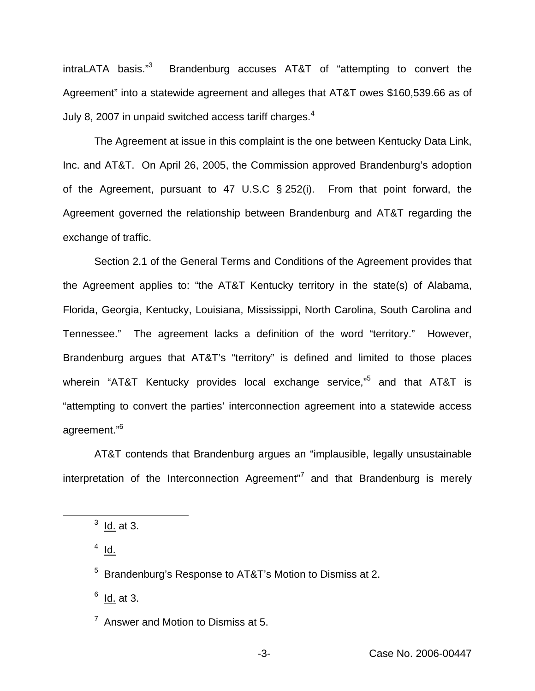intraLATA basis."3 Brandenburg accuses AT&T of "attempting to convert the Agreement" into a statewide agreement and alleges that AT&T owes \$160,539.66 as of July 8, 2007 in unpaid switched access tariff charges. $4$ 

The Agreement at issue in this complaint is the one between Kentucky Data Link, Inc. and AT&T. On April 26, 2005, the Commission approved Brandenburg's adoption of the Agreement, pursuant to 47 U.S.C § 252(i). From that point forward, the Agreement governed the relationship between Brandenburg and AT&T regarding the exchange of traffic.

Section 2.1 of the General Terms and Conditions of the Agreement provides that the Agreement applies to: "the AT&T Kentucky territory in the state(s) of Alabama, Florida, Georgia, Kentucky, Louisiana, Mississippi, North Carolina, South Carolina and Tennessee." The agreement lacks a definition of the word "territory." However, Brandenburg argues that AT&T's "territory" is defined and limited to those places wherein "AT&T Kentucky provides local exchange service,"<sup>5</sup> and that AT&T is "attempting to convert the parties' interconnection agreement into a statewide access agreement."6

AT&T contends that Brandenburg argues an "implausible, legally unsustainable interpretation of the Interconnection Agreement $\overline{a}$  and that Brandenburg is merely

 $4$  Id.

 $<sup>6</sup>$  Id. at 3.</sup>

 $7$  Answer and Motion to Dismiss at 5.

 $3$  ld. at 3.

<sup>5</sup> Brandenburg's Response to AT&T's Motion to Dismiss at 2.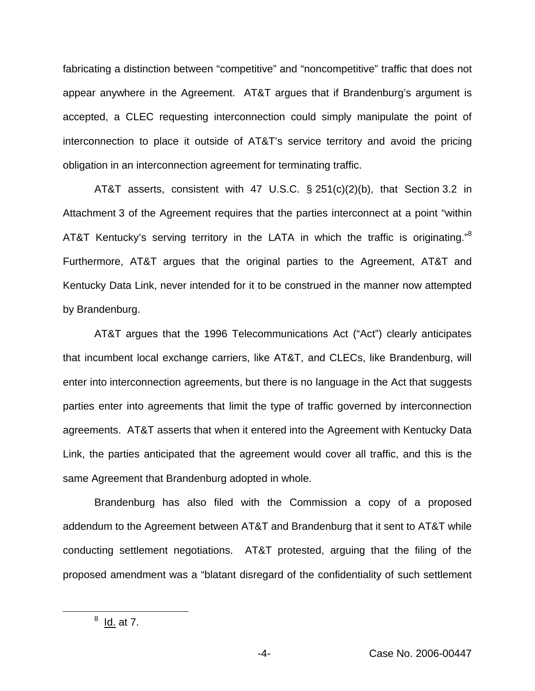fabricating a distinction between "competitive" and "noncompetitive" traffic that does not appear anywhere in the Agreement. AT&T argues that if Brandenburg's argument is accepted, a CLEC requesting interconnection could simply manipulate the point of interconnection to place it outside of AT&T's service territory and avoid the pricing obligation in an interconnection agreement for terminating traffic.

AT&T asserts, consistent with 47 U.S.C. § 251(c)(2)(b), that Section 3.2 in Attachment 3 of the Agreement requires that the parties interconnect at a point "within AT&T Kentucky's serving territory in the LATA in which the traffic is originating."<sup>8</sup> Furthermore, AT&T argues that the original parties to the Agreement, AT&T and Kentucky Data Link, never intended for it to be construed in the manner now attempted by Brandenburg.

AT&T argues that the 1996 Telecommunications Act ("Act") clearly anticipates that incumbent local exchange carriers, like AT&T, and CLECs, like Brandenburg, will enter into interconnection agreements, but there is no language in the Act that suggests parties enter into agreements that limit the type of traffic governed by interconnection agreements. AT&T asserts that when it entered into the Agreement with Kentucky Data Link, the parties anticipated that the agreement would cover all traffic, and this is the same Agreement that Brandenburg adopted in whole.

Brandenburg has also filed with the Commission a copy of a proposed addendum to the Agreement between AT&T and Brandenburg that it sent to AT&T while conducting settlement negotiations. AT&T protested, arguing that the filing of the proposed amendment was a "blatant disregard of the confidentiality of such settlement

 $8$  <u>Id.</u> at 7.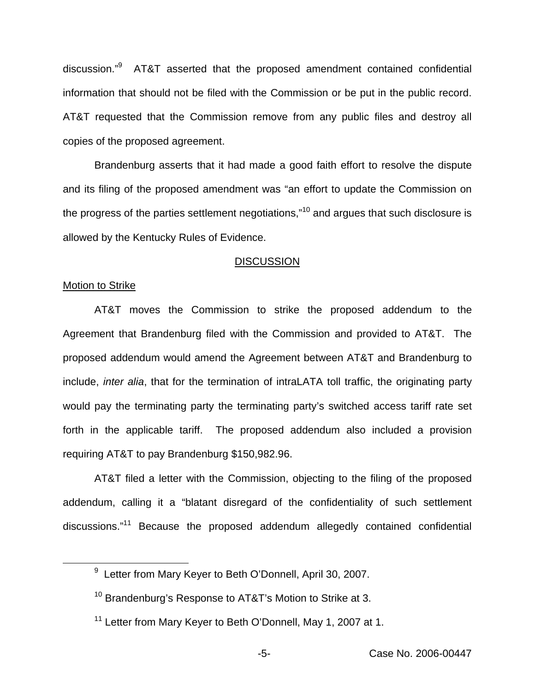discussion."<sup>9</sup> AT&T asserted that the proposed amendment contained confidential information that should not be filed with the Commission or be put in the public record. AT&T requested that the Commission remove from any public files and destroy all copies of the proposed agreement.

Brandenburg asserts that it had made a good faith effort to resolve the dispute and its filing of the proposed amendment was "an effort to update the Commission on the progress of the parties settlement negotiations,"<sup>10</sup> and argues that such disclosure is allowed by the Kentucky Rules of Evidence.

#### **DISCUSSION**

# Motion to Strike

AT&T moves the Commission to strike the proposed addendum to the Agreement that Brandenburg filed with the Commission and provided to AT&T. The proposed addendum would amend the Agreement between AT&T and Brandenburg to include, *inter alia*, that for the termination of intraLATA toll traffic, the originating party would pay the terminating party the terminating party's switched access tariff rate set forth in the applicable tariff. The proposed addendum also included a provision requiring AT&T to pay Brandenburg \$150,982.96.

AT&T filed a letter with the Commission, objecting to the filing of the proposed addendum, calling it a "blatant disregard of the confidentiality of such settlement discussions."<sup>11</sup> Because the proposed addendum allegedly contained confidential

<sup>&</sup>lt;sup>9</sup> Letter from Mary Keyer to Beth O'Donnell, April 30, 2007.

<sup>&</sup>lt;sup>10</sup> Brandenburg's Response to AT&T's Motion to Strike at 3.

<sup>&</sup>lt;sup>11</sup> Letter from Mary Keyer to Beth O'Donnell, May 1, 2007 at 1.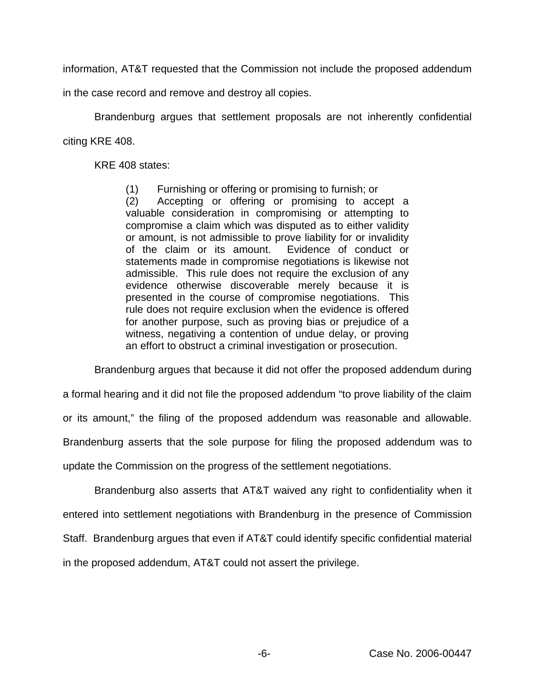information, AT&T requested that the Commission not include the proposed addendum

in the case record and remove and destroy all copies.

Brandenburg argues that settlement proposals are not inherently confidential citing KRE 408.

KRE 408 states:

(1) Furnishing or offering or promising to furnish; or

(2) Accepting or offering or promising to accept a valuable consideration in compromising or attempting to compromise a claim which was disputed as to either validity or amount, is not admissible to prove liability for or invalidity of the claim or its amount. Evidence of conduct or statements made in compromise negotiations is likewise not admissible. This rule does not require the exclusion of any evidence otherwise discoverable merely because it is presented in the course of compromise negotiations. This rule does not require exclusion when the evidence is offered for another purpose, such as proving bias or prejudice of a witness, negativing a contention of undue delay, or proving an effort to obstruct a criminal investigation or prosecution.

Brandenburg argues that because it did not offer the proposed addendum during

a formal hearing and it did not file the proposed addendum "to prove liability of the claim

or its amount," the filing of the proposed addendum was reasonable and allowable.

Brandenburg asserts that the sole purpose for filing the proposed addendum was to

update the Commission on the progress of the settlement negotiations.

Brandenburg also asserts that AT&T waived any right to confidentiality when it entered into settlement negotiations with Brandenburg in the presence of Commission Staff. Brandenburg argues that even if AT&T could identify specific confidential material in the proposed addendum, AT&T could not assert the privilege.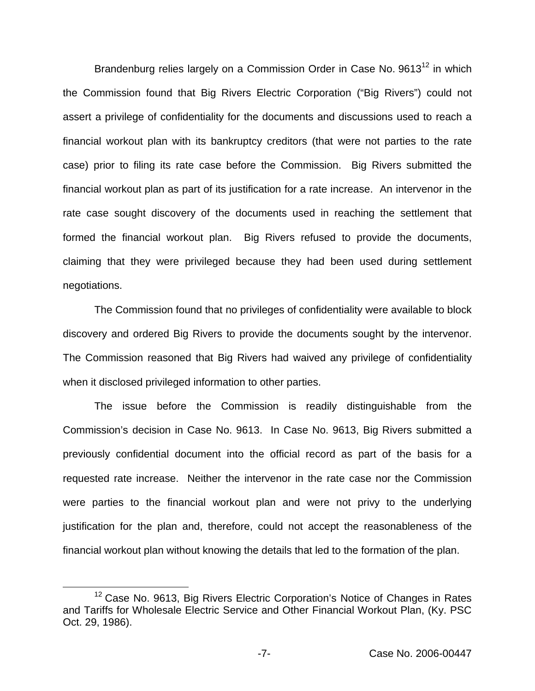Brandenburg relies largely on a Commission Order in Case No.  $9613^{12}$  in which the Commission found that Big Rivers Electric Corporation ("Big Rivers") could not assert a privilege of confidentiality for the documents and discussions used to reach a financial workout plan with its bankruptcy creditors (that were not parties to the rate case) prior to filing its rate case before the Commission. Big Rivers submitted the financial workout plan as part of its justification for a rate increase. An intervenor in the rate case sought discovery of the documents used in reaching the settlement that formed the financial workout plan. Big Rivers refused to provide the documents, claiming that they were privileged because they had been used during settlement negotiations.

The Commission found that no privileges of confidentiality were available to block discovery and ordered Big Rivers to provide the documents sought by the intervenor. The Commission reasoned that Big Rivers had waived any privilege of confidentiality when it disclosed privileged information to other parties.

The issue before the Commission is readily distinguishable from the Commission's decision in Case No. 9613. In Case No. 9613, Big Rivers submitted a previously confidential document into the official record as part of the basis for a requested rate increase. Neither the intervenor in the rate case nor the Commission were parties to the financial workout plan and were not privy to the underlying justification for the plan and, therefore, could not accept the reasonableness of the financial workout plan without knowing the details that led to the formation of the plan.

<sup>&</sup>lt;sup>12</sup> Case No. 9613, Big Rivers Electric Corporation's Notice of Changes in Rates and Tariffs for Wholesale Electric Service and Other Financial Workout Plan, (Ky. PSC Oct. 29, 1986).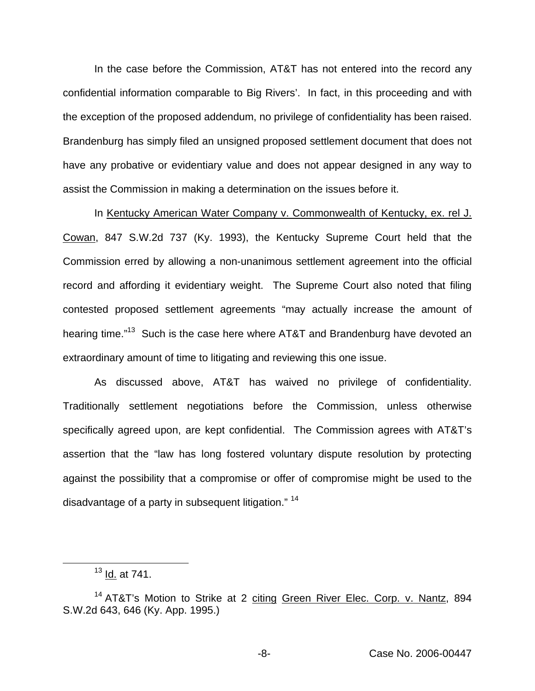In the case before the Commission, AT&T has not entered into the record any confidential information comparable to Big Rivers'. In fact, in this proceeding and with the exception of the proposed addendum, no privilege of confidentiality has been raised. Brandenburg has simply filed an unsigned proposed settlement document that does not have any probative or evidentiary value and does not appear designed in any way to assist the Commission in making a determination on the issues before it.

In Kentucky American Water Company v. Commonwealth of Kentucky, ex. rel J. Cowan, 847 S.W.2d 737 (Ky. 1993), the Kentucky Supreme Court held that the Commission erred by allowing a non-unanimous settlement agreement into the official record and affording it evidentiary weight. The Supreme Court also noted that filing contested proposed settlement agreements "may actually increase the amount of hearing time."<sup>13</sup> Such is the case here where AT&T and Brandenburg have devoted an extraordinary amount of time to litigating and reviewing this one issue.

As discussed above, AT&T has waived no privilege of confidentiality. Traditionally settlement negotiations before the Commission, unless otherwise specifically agreed upon, are kept confidential. The Commission agrees with AT&T's assertion that the "law has long fostered voluntary dispute resolution by protecting against the possibility that a compromise or offer of compromise might be used to the disadvantage of a party in subsequent litigation." <sup>14</sup>

 $13$  Id. at 741.

<sup>&</sup>lt;sup>14</sup> AT&T's Motion to Strike at 2 citing Green River Elec. Corp. v. Nantz, 894 S.W.2d 643, 646 (Ky. App. 1995.)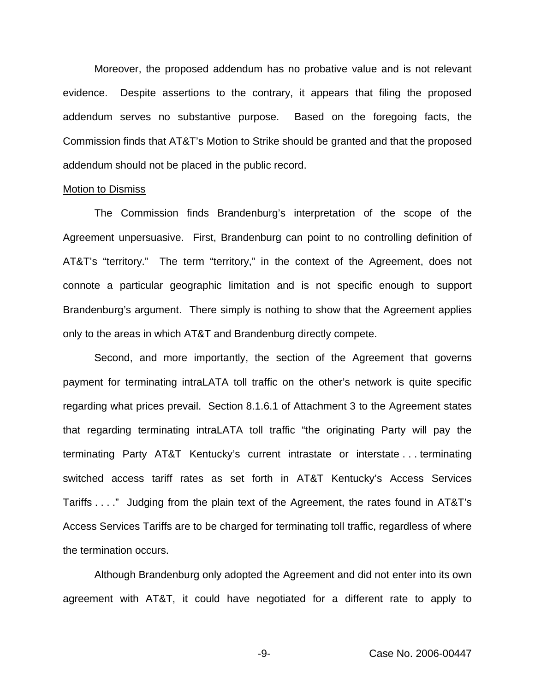Moreover, the proposed addendum has no probative value and is not relevant evidence. Despite assertions to the contrary, it appears that filing the proposed addendum serves no substantive purpose. Based on the foregoing facts, the Commission finds that AT&T's Motion to Strike should be granted and that the proposed addendum should not be placed in the public record.

#### Motion to Dismiss

The Commission finds Brandenburg's interpretation of the scope of the Agreement unpersuasive. First, Brandenburg can point to no controlling definition of AT&T's "territory." The term "territory," in the context of the Agreement, does not connote a particular geographic limitation and is not specific enough to support Brandenburg's argument. There simply is nothing to show that the Agreement applies only to the areas in which AT&T and Brandenburg directly compete.

Second, and more importantly, the section of the Agreement that governs payment for terminating intraLATA toll traffic on the other's network is quite specific regarding what prices prevail. Section 8.1.6.1 of Attachment 3 to the Agreement states that regarding terminating intraLATA toll traffic "the originating Party will pay the terminating Party AT&T Kentucky's current intrastate or interstate . . . terminating switched access tariff rates as set forth in AT&T Kentucky's Access Services Tariffs . . . ." Judging from the plain text of the Agreement, the rates found in AT&T's Access Services Tariffs are to be charged for terminating toll traffic, regardless of where the termination occurs.

Although Brandenburg only adopted the Agreement and did not enter into its own agreement with AT&T, it could have negotiated for a different rate to apply to